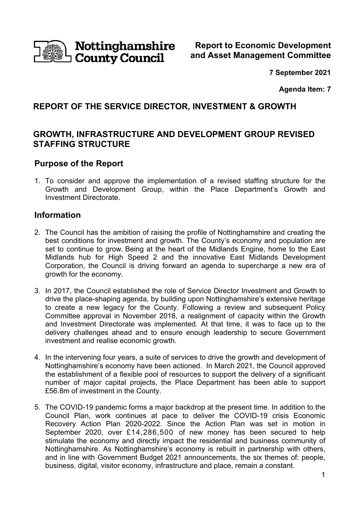

**Report to Economic Development and Asset Management Committee** 

**7 September 2021** 

**Agenda Item: 7** 

# **REPORT OF THE SERVICE DIRECTOR, INVESTMENT & GROWTH**

## **GROWTH, INFRASTRUCTURE AND DEVELOPMENT GROUP REVISED STAFFING STRUCTURE**

## **Purpose of the Report**

1. To consider and approve the implementation of a revised staffing structure for the Growth and Development Group, within the Place Department's Growth and Investment Directorate.

## **Information**

- 2. The Council has the ambition of raising the profile of Nottinghamshire and creating the best conditions for investment and growth. The County's economy and population are set to continue to grow. Being at the heart of the Midlands Engine, home to the East Midlands hub for High Speed 2 and the innovative East Midlands Development Corporation, the Council is driving forward an agenda to supercharge a new era of growth for the economy.
- 3. In 2017, the Council established the role of Service Director Investment and Growth to drive the place-shaping agenda, by building upon Nottinghamshire's extensive heritage to create a new legacy for the County. Following a review and subsequent Policy Committee approval in November 2018, a realignment of capacity within the Growth and Investment Directorate was implemented. At that time, it was to face up to the delivery challenges ahead and to ensure enough leadership to secure Government investment and realise economic growth.
- 4. In the intervening four years, a suite of services to drive the growth and development of Nottinghamshire's economy have been actioned. In March 2021, the Council approved the establishment of a flexible pool of resources to support the delivery of a significant number of major capital projects, the Place Department has been able to support £56.8m of investment in the County.
- 5. The COVID-19 pandemic forms a major backdrop at the present time. In addition to the Council Plan, work continues at pace to deliver the COVID-19 crisis Economic Recovery Action Plan 2020-2022. Since the Action Plan was set in motion in September 2020, over £14,286,500 of new money has been secured to help stimulate the economy and directly impact the residential and business community of Nottinghamshire. As Nottinghamshire's economy is rebuilt in partnership with others, and in line with Government Budget 2021 announcements, the six themes of: people, business, digital, visitor economy, infrastructure and place, remain a constant.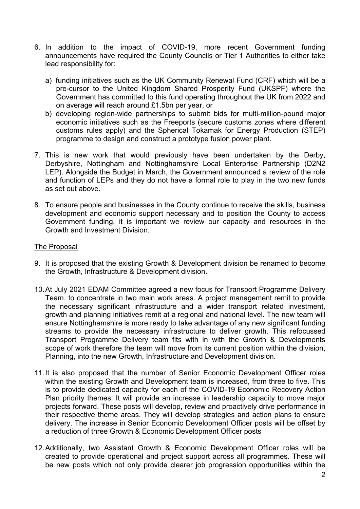- 6. In addition to the impact of COVID-19, more recent Government funding announcements have required the County Councils or Tier 1 Authorities to either take lead responsibility for:
	- a) funding initiatives such as the UK Community Renewal Fund (CRF) which will be a pre-cursor to the United Kingdom Shared Prosperity Fund (UKSPF) where the Government has committed to this fund operating throughout the UK from 2022 and on average will reach around £1.5bn per year, or
	- b) developing region-wide partnerships to submit bids for multi-million-pound major economic initiatives such as the Freeports (secure customs zones where different customs rules apply) and the Spherical Tokamak for Energy Production (STEP) programme to design and construct a prototype fusion power plant.
- 7. This is new work that would previously have been undertaken by the Derby, Derbyshire, Nottingham and Nottinghamshire Local Enterprise Partnership (D2N2 LEP). Alongside the Budget in March, the Government announced a review of the role and function of LEPs and they do not have a formal role to play in the two new funds as set out above.
- 8. To ensure people and businesses in the County continue to receive the skills, business development and economic support necessary and to position the County to access Government funding, it is important we review our capacity and resources in the Growth and Investment Division.

### The Proposal

- 9. It is proposed that the existing Growth & Development division be renamed to become the Growth, Infrastructure & Development division.
- 10. At July 2021 EDAM Committee agreed a new focus for Transport Programme Delivery Team, to concentrate in two main work areas. A project management remit to provide the necessary significant infrastructure and a wider transport related investment, growth and planning initiatives remit at a regional and national level. The new team will ensure Nottinghamshire is more ready to take advantage of any new significant funding streams to provide the necessary infrastructure to deliver growth. This refocussed Transport Programme Delivery team fits with in with the Growth & Developments scope of work therefore the team will move from its current position within the division, Planning, into the new Growth, Infrastructure and Development division.
- 11. It is also proposed that the number of Senior Economic Development Officer roles within the existing Growth and Development team is increased, from three to five. This is to provide dedicated capacity for each of the COVID-19 Economic Recovery Action Plan priority themes. It will provide an increase in leadership capacity to move major projects forward. These posts will develop, review and proactively drive performance in their respective theme areas. They will develop strategies and action plans to ensure delivery. The increase in Senior Economic Development Officer posts will be offset by a reduction of three Growth & Economic Development Officer posts
- 12. Additionally, two Assistant Growth & Economic Development Officer roles will be created to provide operational and project support across all programmes. These will be new posts which not only provide clearer job progression opportunities within the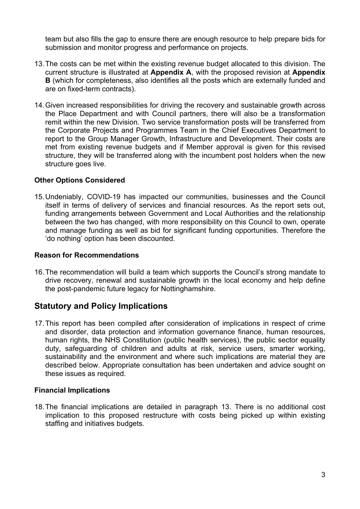team but also fills the gap to ensure there are enough resource to help prepare bids for submission and monitor progress and performance on projects.

- 13. The costs can be met within the existing revenue budget allocated to this division. The current structure is illustrated at **Appendix A**, with the proposed revision at **Appendix B** (which for completeness, also identifies all the posts which are externally funded and are on fixed-term contracts).
- 14. Given increased responsibilities for driving the recovery and sustainable growth across the Place Department and with Council partners, there will also be a transformation remit within the new Division. Two service transformation posts will be transferred from the Corporate Projects and Programmes Team in the Chief Executives Department to report to the Group Manager Growth, Infrastructure and Development. Their costs are met from existing revenue budgets and if Member approval is given for this revised structure, they will be transferred along with the incumbent post holders when the new structure goes live.

### **Other Options Considered**

15. Undeniably, COVID-19 has impacted our communities, businesses and the Council itself in terms of delivery of services and financial resources. As the report sets out, funding arrangements between Government and Local Authorities and the relationship between the two has changed, with more responsibility on this Council to own, operate and manage funding as well as bid for significant funding opportunities. Therefore the 'do nothing' option has been discounted.

#### **Reason for Recommendations**

16. The recommendation will build a team which supports the Council's strong mandate to drive recovery, renewal and sustainable growth in the local economy and help define the post-pandemic future legacy for Nottinghamshire.

# **Statutory and Policy Implications**

17. This report has been compiled after consideration of implications in respect of crime and disorder, data protection and information governance finance, human resources, human rights, the NHS Constitution (public health services), the public sector equality duty, safeguarding of children and adults at risk, service users, smarter working, sustainability and the environment and where such implications are material they are described below. Appropriate consultation has been undertaken and advice sought on these issues as required.

#### **Financial Implications**

18. The financial implications are detailed in paragraph 13. There is no additional cost implication to this proposed restructure with costs being picked up within existing staffing and initiatives budgets.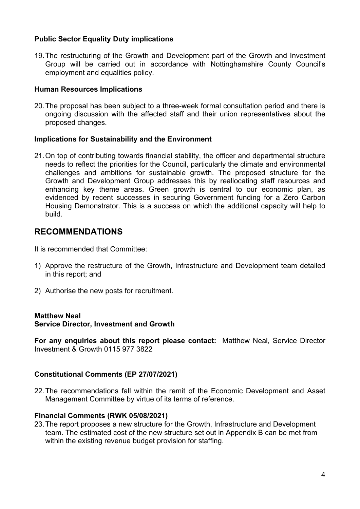### **Public Sector Equality Duty implications**

19. The restructuring of the Growth and Development part of the Growth and Investment Group will be carried out in accordance with Nottinghamshire County Council's employment and equalities policy.

#### **Human Resources Implications**

20. The proposal has been subject to a three-week formal consultation period and there is ongoing discussion with the affected staff and their union representatives about the proposed changes.

#### **Implications for Sustainability and the Environment**

21. On top of contributing towards financial stability, the officer and departmental structure needs to reflect the priorities for the Council, particularly the climate and environmental challenges and ambitions for sustainable growth. The proposed structure for the Growth and Development Group addresses this by reallocating staff resources and enhancing key theme areas. Green growth is central to our economic plan, as evidenced by recent successes in securing Government funding for a Zero Carbon Housing Demonstrator. This is a success on which the additional capacity will help to build.

## **RECOMMENDATIONS**

It is recommended that Committee:

- 1) Approve the restructure of the Growth, Infrastructure and Development team detailed in this report; and
- 2) Authorise the new posts for recruitment.

#### **Matthew Neal**

#### **Service Director, Investment and Growth**

**For any enquiries about this report please contact:** Matthew Neal, Service Director Investment & Growth 0115 977 3822

#### **Constitutional Comments (EP 27/07/2021)**

22. The recommendations fall within the remit of the Economic Development and Asset Management Committee by virtue of its terms of reference.

#### **Financial Comments (RWK 05/08/2021)**

23. The report proposes a new structure for the Growth, Infrastructure and Development team. The estimated cost of the new structure set out in Appendix B can be met from within the existing revenue budget provision for staffing.